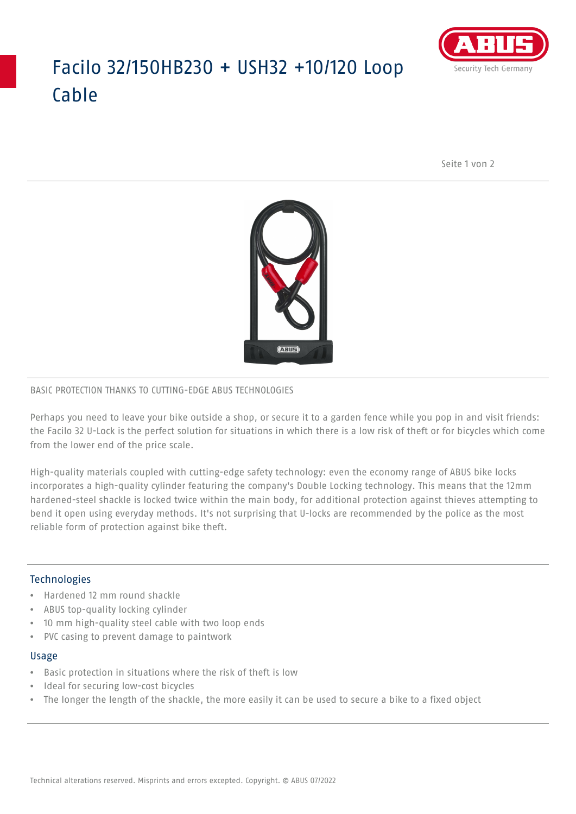# Facilo 32/150HB230 + USH32 +10/120 Loop Cable



Seite 1 von 2



#### BASIC PROTECTION THANKS TO CUTTING-EDGE ABUS TECHNOLOGIES

Perhaps you need to leave your bike outside a shop, or secure it to a garden fence while you pop in and visit friends: the Facilo 32 U-Lock is the perfect solution for situations in which there is a low risk of theft or for bicycles which come from the lower end of the price scale.

High-quality materials coupled with cutting-edge safety technology: even the economy range of ABUS bike locks incorporates a high-quality cylinder featuring the company's Double Locking technology. This means that the 12mm hardened-steel shackle is locked twice within the main body, for additional protection against thieves attempting to bend it open using everyday methods. It's not surprising that U-locks are recommended by the police as the most reliable form of protection against bike theft.

### **Technologies**

- Hardened 12 mm round shackle
- ABUS top-quality locking cylinder
- 10 mm high-quality steel cable with two loop ends
- PVC casing to prevent damage to paintwork

#### Usage

- Basic protection in situations where the risk of theft is low
- Ideal for securing low-cost bicycles
- The longer the length of the shackle, the more easily it can be used to secure a bike to a fixed object